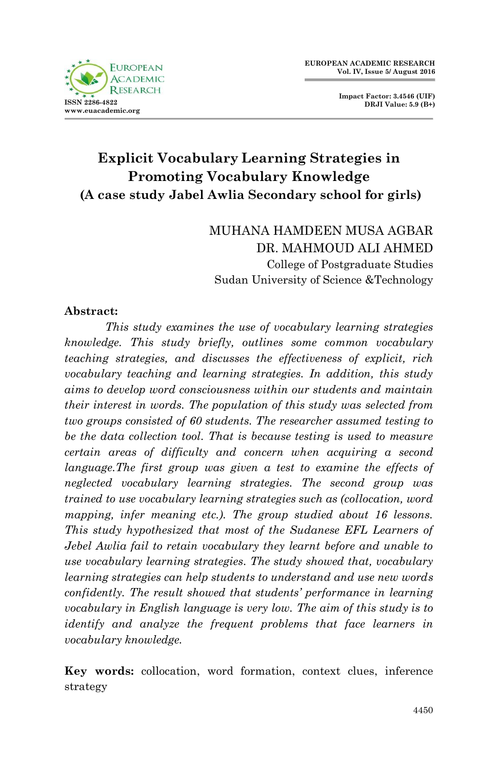

**Impact Factor: 3.4546 (UIF) DRJI Value: 5.9 (B+)**

# **Explicit Vocabulary Learning Strategies in Promoting Vocabulary Knowledge (A case study Jabel Awlia Secondary school for girls)**

# MUHANA HAMDEEN MUSA AGBAR DR. MAHMOUD ALI AHMED College of Postgraduate Studies Sudan University of Science &Technology

#### **Abstract:**

*This study examines the use of vocabulary learning strategies knowledge. This study briefly, outlines some common vocabulary teaching strategies, and discusses the effectiveness of explicit, rich vocabulary teaching and learning strategies. In addition, this study aims to develop word consciousness within our students and maintain their interest in words. The population of this study was selected from two groups consisted of 60 students. The researcher assumed testing to be the data collection tool. That is because testing is used to measure certain areas of difficulty and concern when acquiring a second language.The first group was given a test to examine the effects of neglected vocabulary learning strategies. The second group was trained to use vocabulary learning strategies such as (collocation, word mapping, infer meaning etc.). The group studied about 16 lessons. This study hypothesized that most of the Sudanese EFL Learners of Jebel Awlia fail to retain vocabulary they learnt before and unable to use vocabulary learning strategies. The study showed that, vocabulary learning strategies can help students to understand and use new words confidently. The result showed that students' performance in learning vocabulary in English language is very low. The aim of this study is to identify and analyze the frequent problems that face learners in vocabulary knowledge.*

**Key words:** collocation, word formation, context clues, inference strategy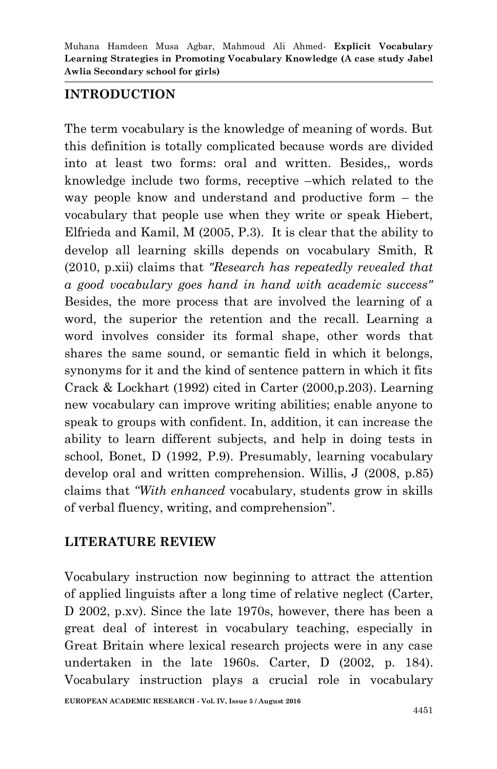### **INTRODUCTION**

The term vocabulary is the knowledge of meaning of words. But this definition is totally complicated because words are divided into at least two forms: oral and written. Besides,, words knowledge include two forms, receptive –which related to the way people know and understand and productive form – the vocabulary that people use when they write or speak Hiebert, Elfrieda and Kamil, M (2005, P.3). It is clear that the ability to develop all learning skills depends on vocabulary Smith, R (2010, p.xii) claims that *"Research has repeatedly revealed that a good vocabulary goes hand in hand with academic success"* Besides, the more process that are involved the learning of a word, the superior the retention and the recall. Learning a word involves consider its formal shape, other words that shares the same sound, or semantic field in which it belongs, synonyms for it and the kind of sentence pattern in which it fits Crack & Lockhart (1992) cited in Carter (2000,p.203). Learning new vocabulary can improve writing abilities; enable anyone to speak to groups with confident. In, addition, it can increase the ability to learn different subjects, and help in doing tests in school, Bonet, D (1992, P.9). Presumably, learning vocabulary develop oral and written comprehension. Willis, J (2008, p.85) claims that *"With enhanced* vocabulary, students grow in skills of verbal fluency, writing, and comprehension".

### **LITERATURE REVIEW**

Vocabulary instruction now beginning to attract the attention of applied linguists after a long time of relative neglect (Carter, D 2002, p.xv). Since the late 1970s, however, there has been a great deal of interest in vocabulary teaching, especially in Great Britain where lexical research projects were in any case undertaken in the late 1960s. Carter, D (2002, p. 184). Vocabulary instruction plays a crucial role in vocabulary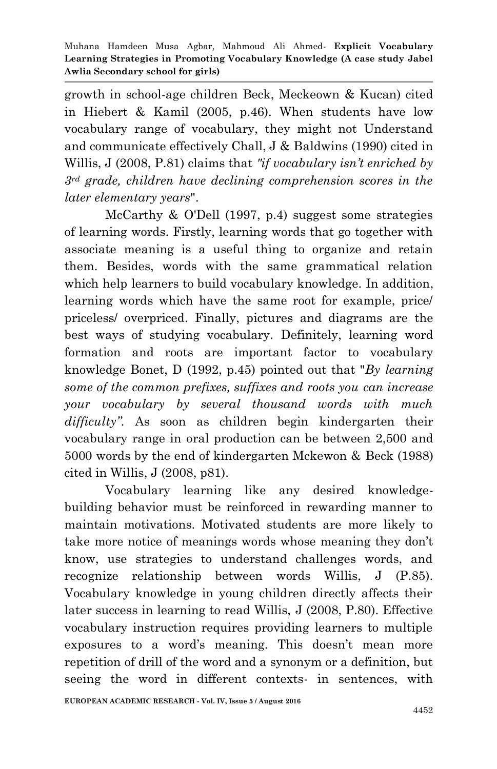growth in school-age children Beck, Meckeown & Kucan) cited in Hiebert & Kamil (2005, p.46). When students have low vocabulary range of vocabulary, they might not Understand and communicate effectively Chall, J & Baldwins (1990) cited in Willis, J (2008, P.81) claims that *"if vocabulary isn't enriched by 3rd grade, children have declining comprehension scores in the later elementary years*".

 McCarthy & O'Dell (1997, p.4) suggest some strategies of learning words. Firstly, learning words that go together with associate meaning is a useful thing to organize and retain them. Besides, words with the same grammatical relation which help learners to build vocabulary knowledge. In addition, learning words which have the same root for example, price/ priceless/ overpriced. Finally, pictures and diagrams are the best ways of studying vocabulary. Definitely, learning word formation and roots are important factor to vocabulary knowledge Bonet, D (1992, p.45) pointed out that "*By learning some of the common prefixes, suffixes and roots you can increase your vocabulary by several thousand words with much difficulty".* As soon as children begin kindergarten their vocabulary range in oral production can be between 2,500 and 5000 words by the end of kindergarten Mckewon & Beck (1988) cited in Willis, J (2008, p81).

Vocabulary learning like any desired knowledgebuilding behavior must be reinforced in rewarding manner to maintain motivations. Motivated students are more likely to take more notice of meanings words whose meaning they don't know, use strategies to understand challenges words, and recognize relationship between words Willis, J (P.85). Vocabulary knowledge in young children directly affects their later success in learning to read Willis, J (2008, P.80). Effective vocabulary instruction requires providing learners to multiple exposures to a word's meaning. This doesn't mean more repetition of drill of the word and a synonym or a definition, but seeing the word in different contexts- in sentences, with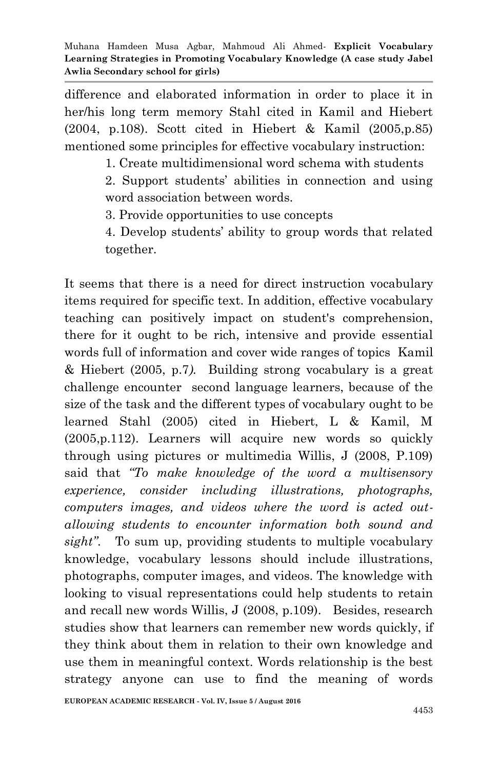difference and elaborated information in order to place it in her/his long term memory Stahl cited in Kamil and Hiebert (2004, p.108). Scott cited in Hiebert & Kamil (2005,p.85) mentioned some principles for effective vocabulary instruction:

1. Create multidimensional word schema with students

2. Support students' abilities in connection and using word association between words.

3. Provide opportunities to use concepts

4. Develop students' ability to group words that related together.

It seems that there is a need for direct instruction vocabulary items required for specific text. In addition, effective vocabulary teaching can positively impact on student's comprehension, there for it ought to be rich, intensive and provide essential words full of information and cover wide ranges of topics Kamil & Hiebert (2005, p.7*).* Building strong vocabulary is a great challenge encounter second language learners, because of the size of the task and the different types of vocabulary ought to be learned Stahl (2005) cited in Hiebert, L & Kamil, M (2005,p.112). Learners will acquire new words so quickly through using pictures or multimedia Willis, J (2008, P.109) said that *"To make knowledge of the word a multisensory experience, consider including illustrations, photographs, computers images, and videos where the word is acted outallowing students to encounter information both sound and sight"*. To sum up, providing students to multiple vocabulary knowledge, vocabulary lessons should include illustrations, photographs, computer images, and videos. The knowledge with looking to visual representations could help students to retain and recall new words Willis, J (2008, p.109). Besides, research studies show that learners can remember new words quickly, if they think about them in relation to their own knowledge and use them in meaningful context. Words relationship is the best strategy anyone can use to find the meaning of words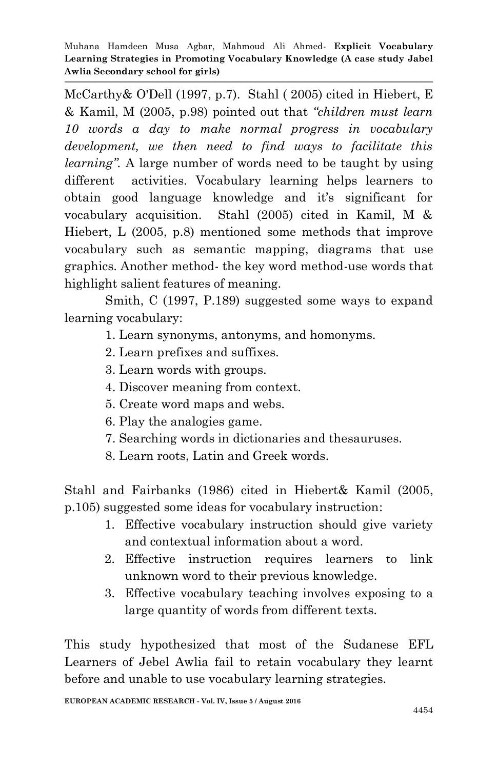McCarthy& O'Dell (1997, p.7). Stahl ( 2005) cited in Hiebert, E & Kamil, M (2005, p.98) pointed out that *"children must learn 10 words a day to make normal progress in vocabulary development, we then need to find ways to facilitate this learning".* A large number of words need to be taught by using different activities. Vocabulary learning helps learners to obtain good language knowledge and it's significant for vocabulary acquisition. Stahl (2005) cited in Kamil, M & Hiebert, L (2005, p.8) mentioned some methods that improve vocabulary such as semantic mapping, diagrams that use graphics. Another method- the key word method-use words that highlight salient features of meaning.

Smith, C (1997, P.189) suggested some ways to expand learning vocabulary:

- 1. Learn synonyms, antonyms, and homonyms.
- 2. Learn prefixes and suffixes.
- 3. Learn words with groups.
- 4. Discover meaning from context.
- 5. Create word maps and webs.
- 6. Play the analogies game.
- 7. Searching words in dictionaries and thesauruses.
- 8. Learn roots, Latin and Greek words.

Stahl and Fairbanks (1986) cited in Hiebert& Kamil (2005, p.105) suggested some ideas for vocabulary instruction:

- 1. Effective vocabulary instruction should give variety and contextual information about a word.
- 2. Effective instruction requires learners to link unknown word to their previous knowledge.
- 3. Effective vocabulary teaching involves exposing to a large quantity of words from different texts.

This study hypothesized that most of the Sudanese EFL Learners of Jebel Awlia fail to retain vocabulary they learnt before and unable to use vocabulary learning strategies.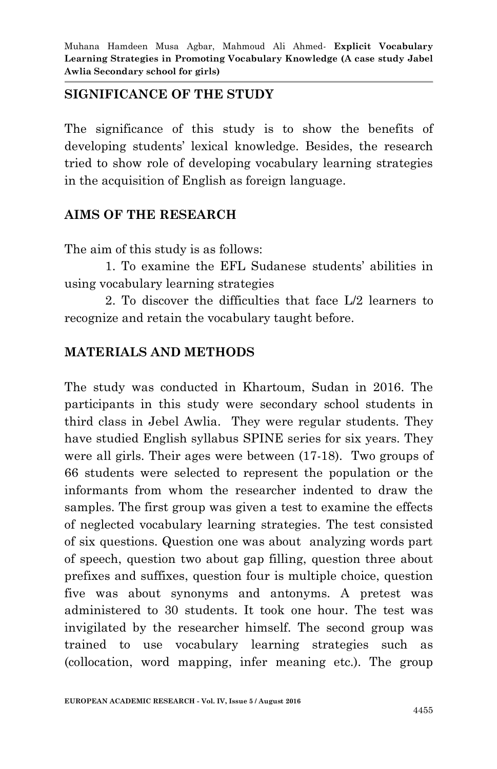### **SIGNIFICANCE OF THE STUDY**

The significance of this study is to show the benefits of developing students' lexical knowledge. Besides, the research tried to show role of developing vocabulary learning strategies in the acquisition of English as foreign language.

#### **AIMS OF THE RESEARCH**

The aim of this study is as follows:

1. To examine the EFL Sudanese students' abilities in using vocabulary learning strategies

2. To discover the difficulties that face L/2 learners to recognize and retain the vocabulary taught before.

#### **MATERIALS AND METHODS**

The study was conducted in Khartoum, Sudan in 2016. The participants in this study were secondary school students in third class in Jebel Awlia. They were regular students. They have studied English syllabus SPINE series for six years. They were all girls. Their ages were between (17-18). Two groups of 66 students were selected to represent the population or the informants from whom the researcher indented to draw the samples. The first group was given a test to examine the effects of neglected vocabulary learning strategies. The test consisted of six questions. Question one was about analyzing words part of speech, question two about gap filling, question three about prefixes and suffixes, question four is multiple choice, question five was about synonyms and antonyms. A pretest was administered to 30 students. It took one hour. The test was invigilated by the researcher himself. The second group was trained to use vocabulary learning strategies such as (collocation, word mapping, infer meaning etc.). The group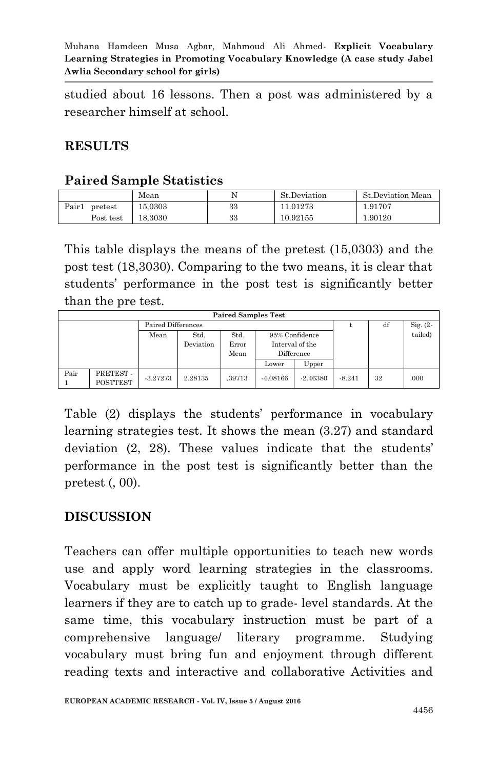studied about 16 lessons. Then a post was administered by a researcher himself at school.

# **RESULTS**

### **Paired Sample Statistics**

|                  | Mean    | N  | St.Deviation | St.Deviation Mean |
|------------------|---------|----|--------------|-------------------|
| Pair1<br>pretest | 15.0303 | 33 | 11.01273     | 1.91707           |
| Post test        | 18.3030 | 33 | 10.92155     | 90120             |

This table displays the means of the pretest (15,0303) and the post test (18,3030). Comparing to the two means, it is clear that students' performance in the post test is significantly better than the pre test.

| <b>Paired Samples Test</b> |                 |            |           |        |                 |            |          |             |         |  |  |  |
|----------------------------|-----------------|------------|-----------|--------|-----------------|------------|----------|-------------|---------|--|--|--|
| Paired Differences         |                 |            |           |        |                 |            | df       | $Sig. (2 -$ |         |  |  |  |
|                            |                 | Mean       | Std.      | Std.   | 95% Confidence  |            |          |             | tailed) |  |  |  |
|                            |                 |            | Deviation | Error  | Interval of the |            |          |             |         |  |  |  |
|                            |                 |            |           | Mean   | Difference      |            |          |             |         |  |  |  |
|                            |                 |            |           |        | Lower           | Upper      |          |             |         |  |  |  |
| Pair                       | PRETEST-        | $-3.27273$ | 2.28135   | .39713 | $-4.08166$      | $-2.46380$ | $-8.241$ | 32          | .000    |  |  |  |
|                            | <b>POSTTEST</b> |            |           |        |                 |            |          |             |         |  |  |  |

Table (2) displays the students' performance in vocabulary learning strategies test. It shows the mean (3.27) and standard deviation (2, 28). These values indicate that the students' performance in the post test is significantly better than the pretest (, 00).

# **DISCUSSION**

Teachers can offer multiple opportunities to teach new words use and apply word learning strategies in the classrooms. Vocabulary must be explicitly taught to English language learners if they are to catch up to grade- level standards. At the same time, this vocabulary instruction must be part of a comprehensive language/ literary programme. Studying vocabulary must bring fun and enjoyment through different reading texts and interactive and collaborative Activities and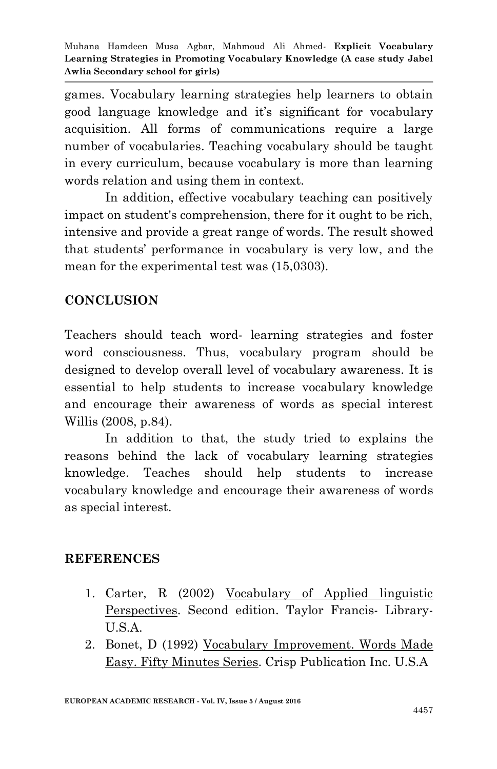games. Vocabulary learning strategies help learners to obtain good language knowledge and it's significant for vocabulary acquisition. All forms of communications require a large number of vocabularies. Teaching vocabulary should be taught in every curriculum, because vocabulary is more than learning words relation and using them in context.

 In addition, effective vocabulary teaching can positively impact on student's comprehension, there for it ought to be rich, intensive and provide a great range of words. The result showed that students' performance in vocabulary is very low, and the mean for the experimental test was (15,0303).

# **CONCLUSION**

Teachers should teach word- learning strategies and foster word consciousness. Thus, vocabulary program should be designed to develop overall level of vocabulary awareness. It is essential to help students to increase vocabulary knowledge and encourage their awareness of words as special interest Willis (2008, p.84).

In addition to that, the study tried to explains the reasons behind the lack of vocabulary learning strategies knowledge. Teaches should help students to increase vocabulary knowledge and encourage their awareness of words as special interest.

# **REFERENCES**

- 1. Carter, R (2002) Vocabulary of Applied linguistic Perspectives. Second edition. Taylor Francis- Library-U.S.A.
- 2. Bonet, D (1992) Vocabulary Improvement. Words Made Easy. Fifty Minutes Series. Crisp Publication Inc. U.S.A